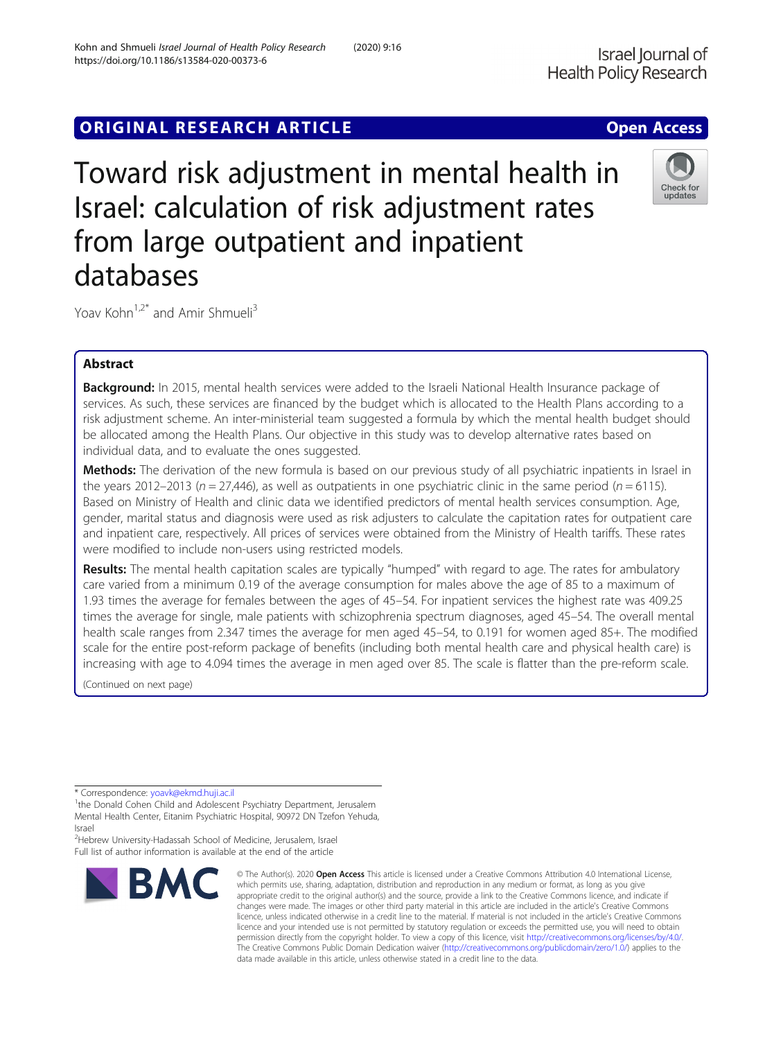# **ORIGINAL RESEARCH ARTICLE CONSUMING ACCESS**

Toward risk adjustment in mental health in Israel: calculation of risk adjustment rates from large outpatient and inpatient databases

Yoav Kohn<sup>1,2\*</sup> and Amir Shmueli<sup>3</sup>

# Abstract

Background: In 2015, mental health services were added to the Israeli National Health Insurance package of services. As such, these services are financed by the budget which is allocated to the Health Plans according to a risk adjustment scheme. An inter-ministerial team suggested a formula by which the mental health budget should be allocated among the Health Plans. Our objective in this study was to develop alternative rates based on individual data, and to evaluate the ones suggested.

Methods: The derivation of the new formula is based on our previous study of all psychiatric inpatients in Israel in the years 2012–2013 ( $n = 27,446$ ), as well as outpatients in one psychiatric clinic in the same period ( $n = 6115$ ). Based on Ministry of Health and clinic data we identified predictors of mental health services consumption. Age, gender, marital status and diagnosis were used as risk adjusters to calculate the capitation rates for outpatient care and inpatient care, respectively. All prices of services were obtained from the Ministry of Health tariffs. These rates were modified to include non-users using restricted models.

Results: The mental health capitation scales are typically "humped" with regard to age. The rates for ambulatory care varied from a minimum 0.19 of the average consumption for males above the age of 85 to a maximum of 1.93 times the average for females between the ages of 45–54. For inpatient services the highest rate was 409.25 times the average for single, male patients with schizophrenia spectrum diagnoses, aged 45–54. The overall mental health scale ranges from 2.347 times the average for men aged 45–54, to 0.191 for women aged 85+. The modified scale for the entire post-reform package of benefits (including both mental health care and physical health care) is increasing with age to 4.094 times the average in men aged over 85. The scale is flatter than the pre-reform scale.

(Continued on next page)

\* Correspondence: [yoavk@ekmd.huji.ac.il](mailto:yoavk@ekmd.huji.ac.il) <sup>1</sup>

<sup>1</sup>the Donald Cohen Child and Adolescent Psychiatry Department, Jerusalem Mental Health Center, Eitanim Psychiatric Hospital, 90972 DN Tzefon Yehuda, Israel

<sup>2</sup>Hebrew University-Hadassah School of Medicine, Jerusalem, Israel Full list of author information is available at the end of the article



Check for undates



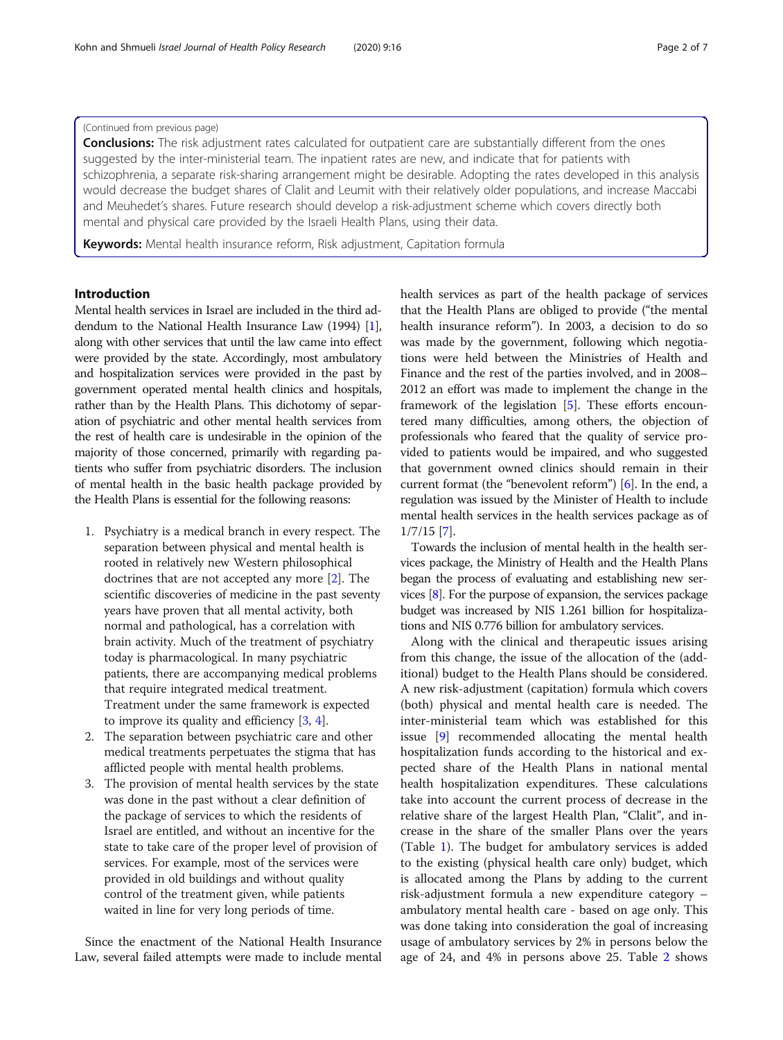### (Continued from previous page)

**Conclusions:** The risk adjustment rates calculated for outpatient care are substantially different from the ones suggested by the inter-ministerial team. The inpatient rates are new, and indicate that for patients with schizophrenia, a separate risk-sharing arrangement might be desirable. Adopting the rates developed in this analysis would decrease the budget shares of Clalit and Leumit with their relatively older populations, and increase Maccabi and Meuhedet's shares. Future research should develop a risk-adjustment scheme which covers directly both mental and physical care provided by the Israeli Health Plans, using their data.

Keywords: Mental health insurance reform, Risk adjustment, Capitation formula

# Introduction

Mental health services in Israel are included in the third addendum to the National Health Insurance Law (1994) [[1](#page-6-0)], along with other services that until the law came into effect were provided by the state. Accordingly, most ambulatory and hospitalization services were provided in the past by government operated mental health clinics and hospitals, rather than by the Health Plans. This dichotomy of separation of psychiatric and other mental health services from the rest of health care is undesirable in the opinion of the majority of those concerned, primarily with regarding patients who suffer from psychiatric disorders. The inclusion of mental health in the basic health package provided by the Health Plans is essential for the following reasons:

- 1. Psychiatry is a medical branch in every respect. The separation between physical and mental health is rooted in relatively new Western philosophical doctrines that are not accepted any more [\[2\]](#page-6-0). The scientific discoveries of medicine in the past seventy years have proven that all mental activity, both normal and pathological, has a correlation with brain activity. Much of the treatment of psychiatry today is pharmacological. In many psychiatric patients, there are accompanying medical problems that require integrated medical treatment. Treatment under the same framework is expected to improve its quality and efficiency [\[3,](#page-6-0) [4\]](#page-6-0).
- 2. The separation between psychiatric care and other medical treatments perpetuates the stigma that has afflicted people with mental health problems.
- 3. The provision of mental health services by the state was done in the past without a clear definition of the package of services to which the residents of Israel are entitled, and without an incentive for the state to take care of the proper level of provision of services. For example, most of the services were provided in old buildings and without quality control of the treatment given, while patients waited in line for very long periods of time.

Since the enactment of the National Health Insurance Law, several failed attempts were made to include mental health services as part of the health package of services that the Health Plans are obliged to provide ("the mental health insurance reform"). In 2003, a decision to do so was made by the government, following which negotiations were held between the Ministries of Health and Finance and the rest of the parties involved, and in 2008– 2012 an effort was made to implement the change in the framework of the legislation [\[5](#page-6-0)]. These efforts encountered many difficulties, among others, the objection of professionals who feared that the quality of service provided to patients would be impaired, and who suggested that government owned clinics should remain in their current format (the "benevolent reform") [\[6\]](#page-6-0). In the end, a regulation was issued by the Minister of Health to include mental health services in the health services package as of 1/7/15 [[7\]](#page-6-0).

Towards the inclusion of mental health in the health services package, the Ministry of Health and the Health Plans began the process of evaluating and establishing new services [\[8\]](#page-6-0). For the purpose of expansion, the services package budget was increased by NIS 1.261 billion for hospitalizations and NIS 0.776 billion for ambulatory services.

Along with the clinical and therapeutic issues arising from this change, the issue of the allocation of the (additional) budget to the Health Plans should be considered. A new risk-adjustment (capitation) formula which covers (both) physical and mental health care is needed. The inter-ministerial team which was established for this issue [\[9](#page-6-0)] recommended allocating the mental health hospitalization funds according to the historical and expected share of the Health Plans in national mental health hospitalization expenditures. These calculations take into account the current process of decrease in the relative share of the largest Health Plan, "Clalit", and increase in the share of the smaller Plans over the years (Table [1\)](#page-2-0). The budget for ambulatory services is added to the existing (physical health care only) budget, which is allocated among the Plans by adding to the current risk-adjustment formula a new expenditure category – ambulatory mental health care - based on age only. This was done taking into consideration the goal of increasing usage of ambulatory services by 2% in persons below the age of 24, and 4% in persons above 25. Table [2](#page-2-0) shows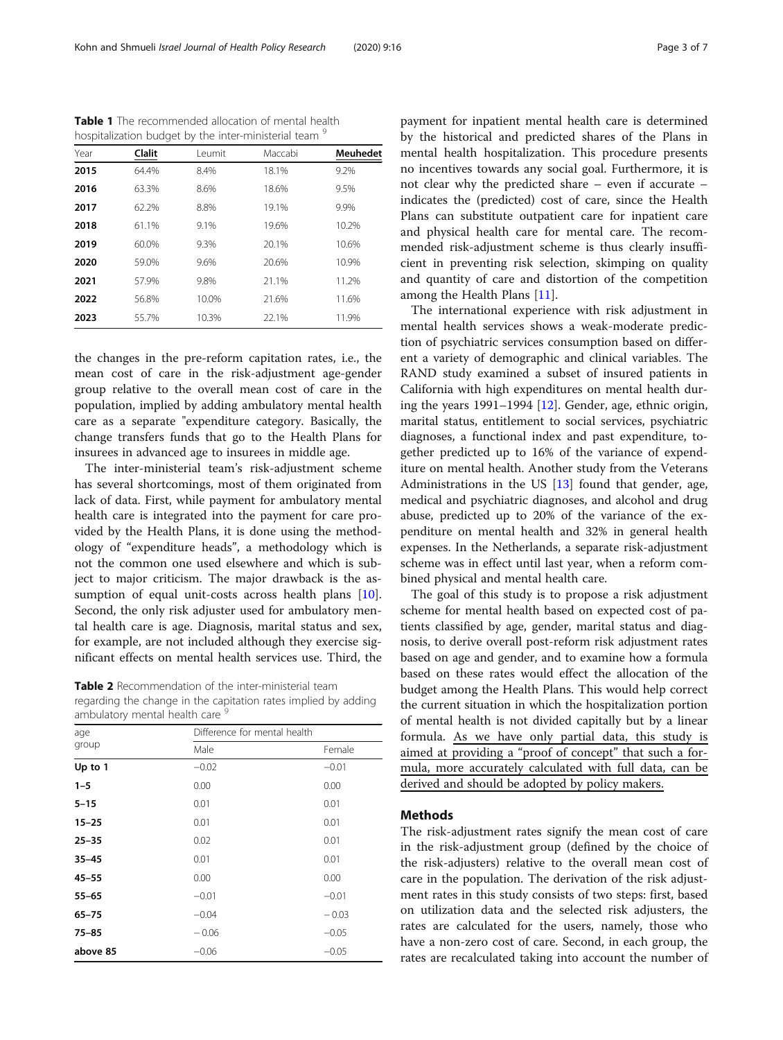<span id="page-2-0"></span>Table 1 The recommended allocation of mental health hospitalization budget by the inter-ministerial team <sup>9</sup>

| Year | <b>Clalit</b> | I eumit | Maccabi | Meuhedet |
|------|---------------|---------|---------|----------|
| 2015 | 64.4%         | 8.4%    | 18.1%   | 9.2%     |
| 2016 | 63.3%         | 8.6%    | 18.6%   | 9.5%     |
| 2017 | 62.2%         | 8.8%    | 19.1%   | 9.9%     |
| 2018 | 61.1%         | 9.1%    | 19.6%   | 10.2%    |
| 2019 | 60.0%         | 9.3%    | 20.1%   | 10.6%    |
| 2020 | 59.0%         | 9.6%    | 20.6%   | 10.9%    |
| 2021 | 57.9%         | 9.8%    | 21.1%   | 11.2%    |
| 2022 | 56.8%         | 10.0%   | 21.6%   | 11.6%    |
| 2023 | 55.7%         | 10.3%   | 22.1%   | 11.9%    |

the changes in the pre-reform capitation rates, i.e., the mean cost of care in the risk-adjustment age-gender group relative to the overall mean cost of care in the population, implied by adding ambulatory mental health care as a separate "expenditure category. Basically, the change transfers funds that go to the Health Plans for insurees in advanced age to insurees in middle age.

The inter-ministerial team's risk-adjustment scheme has several shortcomings, most of them originated from lack of data. First, while payment for ambulatory mental health care is integrated into the payment for care provided by the Health Plans, it is done using the methodology of "expenditure heads", a methodology which is not the common one used elsewhere and which is subject to major criticism. The major drawback is the as-sumption of equal unit-costs across health plans [\[10](#page-6-0)]. Second, the only risk adjuster used for ambulatory mental health care is age. Diagnosis, marital status and sex, for example, are not included although they exercise significant effects on mental health services use. Third, the

Table 2 Recommendation of the inter-ministerial team regarding the change in the capitation rates implied by adding ambulatory mental health care 9

| age       | Difference for mental health |         |  |
|-----------|------------------------------|---------|--|
| group     | Male                         | Female  |  |
| Up to 1   | $-0.02$                      | $-0.01$ |  |
| $1 - 5$   | 0.00                         | 0.00    |  |
| $5 - 15$  | 0.01                         | 0.01    |  |
| $15 - 25$ | 0.01                         | 0.01    |  |
| $25 - 35$ | 0.02                         | 0.01    |  |
| $35 - 45$ | 0.01                         | 0.01    |  |
| $45 - 55$ | 0.00                         | 0.00    |  |
| $55 - 65$ | $-0.01$                      | $-0.01$ |  |
| $65 - 75$ | $-0.04$                      | $-0.03$ |  |
| $75 - 85$ | $-0.06$                      | $-0.05$ |  |
| above 85  | $-0.06$                      | $-0.05$ |  |

payment for inpatient mental health care is determined by the historical and predicted shares of the Plans in mental health hospitalization. This procedure presents no incentives towards any social goal. Furthermore, it is not clear why the predicted share – even if accurate – indicates the (predicted) cost of care, since the Health Plans can substitute outpatient care for inpatient care and physical health care for mental care. The recommended risk-adjustment scheme is thus clearly insufficient in preventing risk selection, skimping on quality and quantity of care and distortion of the competition among the Health Plans [\[11](#page-6-0)].

The international experience with risk adjustment in mental health services shows a weak-moderate prediction of psychiatric services consumption based on different a variety of demographic and clinical variables. The RAND study examined a subset of insured patients in California with high expenditures on mental health during the years 1991–1994 [[12](#page-6-0)]. Gender, age, ethnic origin, marital status, entitlement to social services, psychiatric diagnoses, a functional index and past expenditure, together predicted up to 16% of the variance of expenditure on mental health. Another study from the Veterans Administrations in the US  $[13]$  $[13]$  found that gender, age, medical and psychiatric diagnoses, and alcohol and drug abuse, predicted up to 20% of the variance of the expenditure on mental health and 32% in general health expenses. In the Netherlands, a separate risk-adjustment scheme was in effect until last year, when a reform combined physical and mental health care.

The goal of this study is to propose a risk adjustment scheme for mental health based on expected cost of patients classified by age, gender, marital status and diagnosis, to derive overall post-reform risk adjustment rates based on age and gender, and to examine how a formula based on these rates would effect the allocation of the budget among the Health Plans. This would help correct the current situation in which the hospitalization portion of mental health is not divided capitally but by a linear formula. As we have only partial data, this study is aimed at providing a "proof of concept" that such a formula, more accurately calculated with full data, can be derived and should be adopted by policy makers.

## Methods

The risk-adjustment rates signify the mean cost of care in the risk-adjustment group (defined by the choice of the risk-adjusters) relative to the overall mean cost of care in the population. The derivation of the risk adjustment rates in this study consists of two steps: first, based on utilization data and the selected risk adjusters, the rates are calculated for the users, namely, those who have a non-zero cost of care. Second, in each group, the rates are recalculated taking into account the number of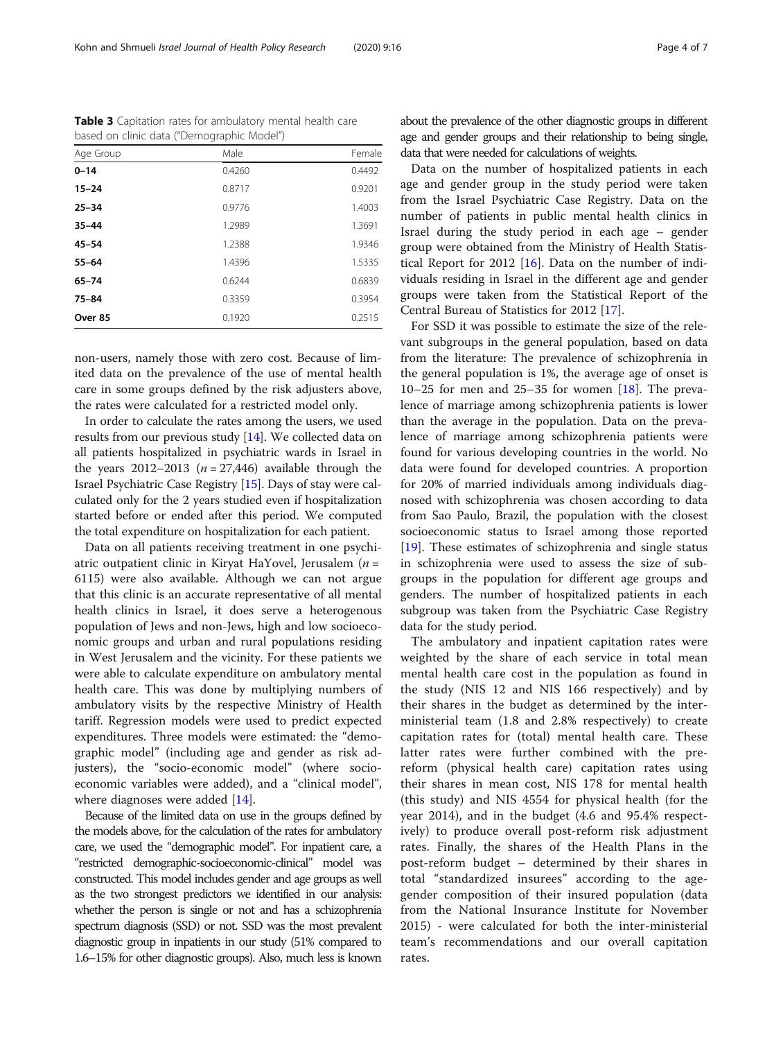<span id="page-3-0"></span>Table 3 Capitation rates for ambulatory mental health care based on clinic data ("Demographic Model")

| Age Group | Male   | Female |
|-----------|--------|--------|
| $0 - 14$  | 0.4260 | 0.4492 |
| $15 - 24$ | 0.8717 | 0.9201 |
| $25 - 34$ | 0.9776 | 1.4003 |
| $35 - 44$ | 1.2989 | 1.3691 |
| $45 - 54$ | 1.2388 | 1.9346 |
| $55 - 64$ | 1.4396 | 1.5335 |
| $65 - 74$ | 0.6244 | 0.6839 |
| $75 - 84$ | 0.3359 | 0.3954 |
| Over 85   | 0.1920 | 0.2515 |

non-users, namely those with zero cost. Because of limited data on the prevalence of the use of mental health care in some groups defined by the risk adjusters above, the rates were calculated for a restricted model only.

In order to calculate the rates among the users, we used results from our previous study [\[14\]](#page-6-0). We collected data on all patients hospitalized in psychiatric wards in Israel in the years 2012–2013 ( $n = 27,446$ ) available through the Israel Psychiatric Case Registry [\[15\]](#page-6-0). Days of stay were calculated only for the 2 years studied even if hospitalization started before or ended after this period. We computed the total expenditure on hospitalization for each patient.

Data on all patients receiving treatment in one psychiatric outpatient clinic in Kiryat HaYovel, Jerusalem ( $n =$ 6115) were also available. Although we can not argue that this clinic is an accurate representative of all mental health clinics in Israel, it does serve a heterogenous population of Jews and non-Jews, high and low socioeconomic groups and urban and rural populations residing in West Jerusalem and the vicinity. For these patients we were able to calculate expenditure on ambulatory mental health care. This was done by multiplying numbers of ambulatory visits by the respective Ministry of Health tariff. Regression models were used to predict expected expenditures. Three models were estimated: the "demographic model" (including age and gender as risk adjusters), the "socio-economic model" (where socioeconomic variables were added), and a "clinical model", where diagnoses were added [\[14](#page-6-0)].

Because of the limited data on use in the groups defined by the models above, for the calculation of the rates for ambulatory care, we used the "demographic model". For inpatient care, a "restricted demographic-socioeconomic-clinical" model was constructed. This model includes gender and age groups as well as the two strongest predictors we identified in our analysis: whether the person is single or not and has a schizophrenia spectrum diagnosis (SSD) or not. SSD was the most prevalent diagnostic group in inpatients in our study (51% compared to 1.6–15% for other diagnostic groups). Also, much less is known about the prevalence of the other diagnostic groups in different age and gender groups and their relationship to being single, data that were needed for calculations of weights.

Data on the number of hospitalized patients in each age and gender group in the study period were taken from the Israel Psychiatric Case Registry. Data on the number of patients in public mental health clinics in Israel during the study period in each age – gender group were obtained from the Ministry of Health Statistical Report for 2012 [[16\]](#page-6-0). Data on the number of individuals residing in Israel in the different age and gender groups were taken from the Statistical Report of the Central Bureau of Statistics for 2012 [[17\]](#page-6-0).

For SSD it was possible to estimate the size of the relevant subgroups in the general population, based on data from the literature: The prevalence of schizophrenia in the general population is 1%, the average age of onset is 10–25 for men and 25–35 for women  $[18]$  $[18]$ . The prevalence of marriage among schizophrenia patients is lower than the average in the population. Data on the prevalence of marriage among schizophrenia patients were found for various developing countries in the world. No data were found for developed countries. A proportion for 20% of married individuals among individuals diagnosed with schizophrenia was chosen according to data from Sao Paulo, Brazil, the population with the closest socioeconomic status to Israel among those reported [[19\]](#page-6-0). These estimates of schizophrenia and single status in schizophrenia were used to assess the size of subgroups in the population for different age groups and genders. The number of hospitalized patients in each subgroup was taken from the Psychiatric Case Registry data for the study period.

The ambulatory and inpatient capitation rates were weighted by the share of each service in total mean mental health care cost in the population as found in the study (NIS 12 and NIS 166 respectively) and by their shares in the budget as determined by the interministerial team (1.8 and 2.8% respectively) to create capitation rates for (total) mental health care. These latter rates were further combined with the prereform (physical health care) capitation rates using their shares in mean cost, NIS 178 for mental health (this study) and NIS 4554 for physical health (for the year 2014), and in the budget (4.6 and 95.4% respectively) to produce overall post-reform risk adjustment rates. Finally, the shares of the Health Plans in the post-reform budget – determined by their shares in total "standardized insurees" according to the agegender composition of their insured population (data from the National Insurance Institute for November 2015) - were calculated for both the inter-ministerial team's recommendations and our overall capitation rates.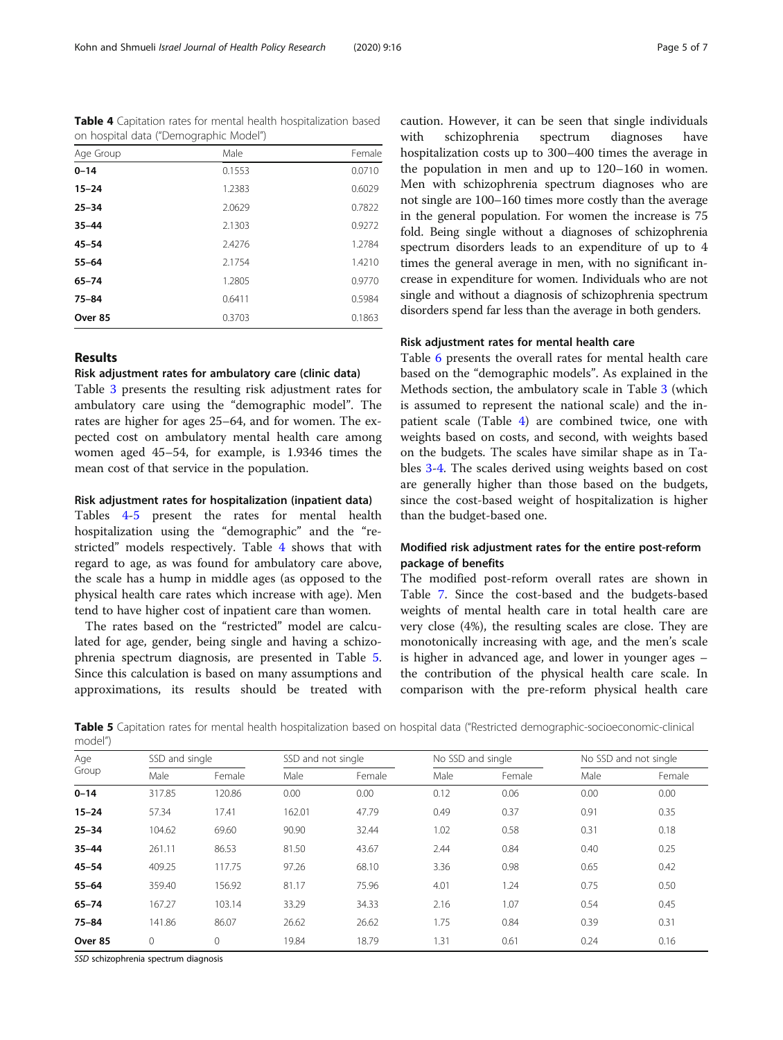|           | - -    |        |
|-----------|--------|--------|
| Age Group | Male   | Female |
| $0 - 14$  | 0.1553 | 0.0710 |
| $15 - 24$ | 1.2383 | 0.6029 |
| $25 - 34$ | 2.0629 | 0.7822 |
| $35 - 44$ | 2.1303 | 0.9272 |
| $45 - 54$ | 2.4276 | 1.2784 |
| $55 - 64$ | 2.1754 | 1.4210 |
| $65 - 74$ | 1.2805 | 0.9770 |
| $75 - 84$ | 0.6411 | 0.5984 |
| Over 85   | 0.3703 | 0.1863 |
|           |        |        |

Table 4 Capitation rates for mental health hospitalization based on hospital data ("Demographic Model")

### Results

### Risk adjustment rates for ambulatory care (clinic data)

Table [3](#page-3-0) presents the resulting risk adjustment rates for ambulatory care using the "demographic model". The rates are higher for ages 25–64, and for women. The expected cost on ambulatory mental health care among women aged 45–54, for example, is 1.9346 times the mean cost of that service in the population.

### Risk adjustment rates for hospitalization (inpatient data)

Tables 4-5 present the rates for mental health hospitalization using the "demographic" and the "restricted" models respectively. Table 4 shows that with regard to age, as was found for ambulatory care above, the scale has a hump in middle ages (as opposed to the physical health care rates which increase with age). Men tend to have higher cost of inpatient care than women.

The rates based on the "restricted" model are calculated for age, gender, being single and having a schizophrenia spectrum diagnosis, are presented in Table 5. Since this calculation is based on many assumptions and approximations, its results should be treated with caution. However, it can be seen that single individuals with schizophrenia spectrum diagnoses have hospitalization costs up to 300–400 times the average in the population in men and up to 120–160 in women. Men with schizophrenia spectrum diagnoses who are not single are 100–160 times more costly than the average in the general population. For women the increase is 75 fold. Being single without a diagnoses of schizophrenia spectrum disorders leads to an expenditure of up to 4 times the general average in men, with no significant increase in expenditure for women. Individuals who are not single and without a diagnosis of schizophrenia spectrum disorders spend far less than the average in both genders.

### Risk adjustment rates for mental health care

Table [6](#page-5-0) presents the overall rates for mental health care based on the "demographic models". As explained in the Methods section, the ambulatory scale in Table [3](#page-3-0) (which is assumed to represent the national scale) and the inpatient scale (Table 4) are combined twice, one with weights based on costs, and second, with weights based on the budgets. The scales have similar shape as in Tables [3-](#page-3-0)4. The scales derived using weights based on cost are generally higher than those based on the budgets, since the cost-based weight of hospitalization is higher than the budget-based one.

# Modified risk adjustment rates for the entire post-reform package of benefits

The modified post-reform overall rates are shown in Table [7](#page-5-0). Since the cost-based and the budgets-based weights of mental health care in total health care are very close (4%), the resulting scales are close. They are monotonically increasing with age, and the men's scale is higher in advanced age, and lower in younger ages – the contribution of the physical health care scale. In comparison with the pre-reform physical health care

Table 5 Capitation rates for mental health hospitalization based on hospital data ("Restricted demographic-socioeconomic-clinical model")

| Age<br>Group |              | SSD and single |        | SSD and not single |      | No SSD and single |      | No SSD and not single |  |
|--------------|--------------|----------------|--------|--------------------|------|-------------------|------|-----------------------|--|
|              | Male         | Female         | Male   | Female             | Male | Female            | Male | Female                |  |
| $0 - 14$     | 317.85       | 120.86         | 0.00   | 0.00               | 0.12 | 0.06              | 0.00 | 0.00                  |  |
| $15 - 24$    | 57.34        | 17.41          | 162.01 | 47.79              | 0.49 | 0.37              | 0.91 | 0.35                  |  |
| $25 - 34$    | 104.62       | 69.60          | 90.90  | 32.44              | 1.02 | 0.58              | 0.31 | 0.18                  |  |
| $35 - 44$    | 261.11       | 86.53          | 81.50  | 43.67              | 2.44 | 0.84              | 0.40 | 0.25                  |  |
| $45 - 54$    | 409.25       | 117.75         | 97.26  | 68.10              | 3.36 | 0.98              | 0.65 | 0.42                  |  |
| $55 - 64$    | 359.40       | 156.92         | 81.17  | 75.96              | 4.01 | 1.24              | 0.75 | 0.50                  |  |
| $65 - 74$    | 167.27       | 103.14         | 33.29  | 34.33              | 2.16 | 1.07              | 0.54 | 0.45                  |  |
| $75 - 84$    | 141.86       | 86.07          | 26.62  | 26.62              | 1.75 | 0.84              | 0.39 | 0.31                  |  |
| Over 85      | $\mathbf{0}$ | 0              | 19.84  | 18.79              | 1.31 | 0.61              | 0.24 | 0.16                  |  |

SSD schizophrenia spectrum diagnosis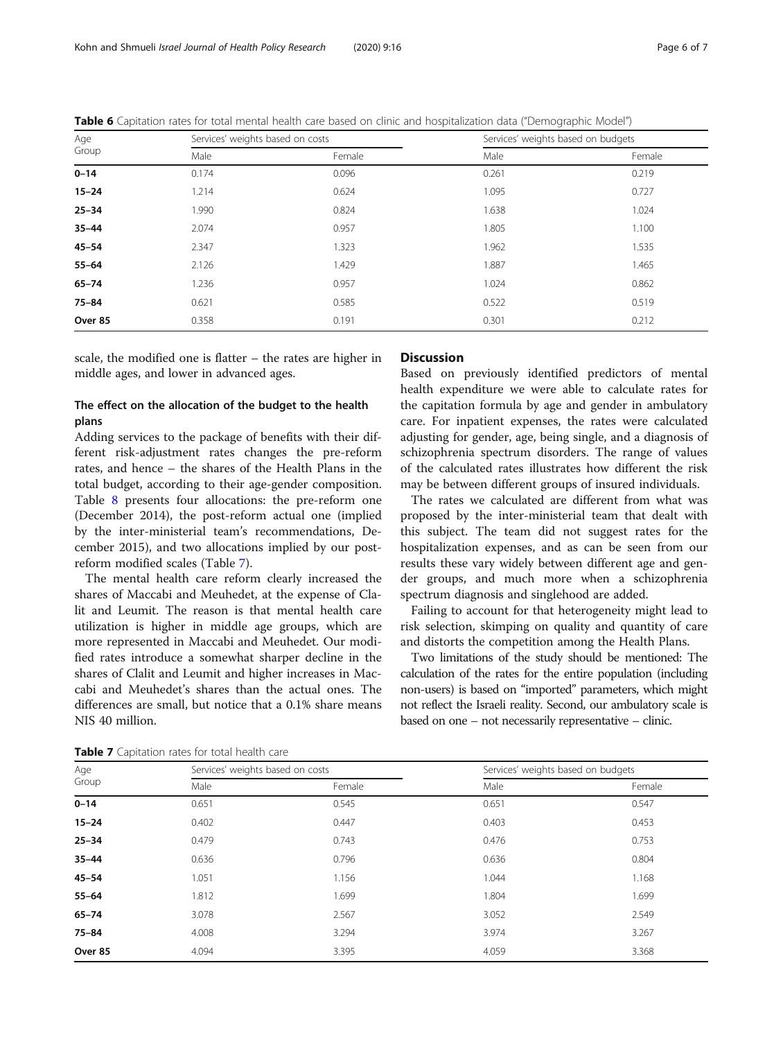| Age       | Services' weights based on costs |        | Services' weights based on budgets |        |  |
|-----------|----------------------------------|--------|------------------------------------|--------|--|
| Group     | Male                             | Female | Male                               | Female |  |
| $0 - 14$  | 0.174                            | 0.096  | 0.261                              | 0.219  |  |
| $15 - 24$ | 1.214                            | 0.624  | 1.095                              | 0.727  |  |
| $25 - 34$ | 1.990                            | 0.824  | 1.638                              | 1.024  |  |
| $35 - 44$ | 2.074                            | 0.957  | 1.805                              | 1.100  |  |
| $45 - 54$ | 2.347                            | 1.323  | 1.962                              | 1.535  |  |
| $55 - 64$ | 2.126                            | 1.429  | 1.887                              | 1.465  |  |
| $65 - 74$ | 1.236                            | 0.957  | 1.024                              | 0.862  |  |
| $75 - 84$ | 0.621                            | 0.585  | 0.522                              | 0.519  |  |
| Over 85   | 0.358                            | 0.191  | 0.301                              | 0.212  |  |

<span id="page-5-0"></span>Table 6 Capitation rates for total mental health care based on clinic and hospitalization data ("Demographic Model")

scale, the modified one is flatter – the rates are higher in middle ages, and lower in advanced ages.

## The effect on the allocation of the budget to the health plans

Adding services to the package of benefits with their different risk-adjustment rates changes the pre-reform rates, and hence – the shares of the Health Plans in the total budget, according to their age-gender composition. Table [8](#page-6-0) presents four allocations: the pre-reform one (December 2014), the post-reform actual one (implied by the inter-ministerial team's recommendations, December 2015), and two allocations implied by our postreform modified scales (Table 7).

The mental health care reform clearly increased the shares of Maccabi and Meuhedet, at the expense of Clalit and Leumit. The reason is that mental health care utilization is higher in middle age groups, which are more represented in Maccabi and Meuhedet. Our modified rates introduce a somewhat sharper decline in the shares of Clalit and Leumit and higher increases in Maccabi and Meuhedet's shares than the actual ones. The differences are small, but notice that a 0.1% share means NIS 40 million.

### **Discussion**

Based on previously identified predictors of mental health expenditure we were able to calculate rates for the capitation formula by age and gender in ambulatory care. For inpatient expenses, the rates were calculated adjusting for gender, age, being single, and a diagnosis of schizophrenia spectrum disorders. The range of values of the calculated rates illustrates how different the risk may be between different groups of insured individuals.

The rates we calculated are different from what was proposed by the inter-ministerial team that dealt with this subject. The team did not suggest rates for the hospitalization expenses, and as can be seen from our results these vary widely between different age and gender groups, and much more when a schizophrenia spectrum diagnosis and singlehood are added.

Failing to account for that heterogeneity might lead to risk selection, skimping on quality and quantity of care and distorts the competition among the Health Plans.

Two limitations of the study should be mentioned: The calculation of the rates for the entire population (including non-users) is based on "imported" parameters, which might not reflect the Israeli reality. Second, our ambulatory scale is based on one – not necessarily representative – clinic.

Table 7 Capitation rates for total health care

| Age       | Services' weights based on costs |        | Services' weights based on budgets |        |  |
|-----------|----------------------------------|--------|------------------------------------|--------|--|
| Group     | Male                             | Female | Male                               | Female |  |
| $0 - 14$  | 0.651                            | 0.545  | 0.651                              | 0.547  |  |
| $15 - 24$ | 0.402                            | 0.447  | 0.403                              | 0.453  |  |
| $25 - 34$ | 0.479                            | 0.743  | 0.476                              | 0.753  |  |
| $35 - 44$ | 0.636                            | 0.796  | 0.636                              | 0.804  |  |
| $45 - 54$ | 1.051                            | 1.156  | 1.044                              | 1.168  |  |
| $55 - 64$ | 1.812                            | 1.699  | 1.804                              | 1.699  |  |
| $65 - 74$ | 3.078                            | 2.567  | 3.052                              | 2.549  |  |
| $75 - 84$ | 4.008                            | 3.294  | 3.974                              | 3.267  |  |
| Over 85   | 4.094                            | 3.395  | 4.059                              | 3.368  |  |